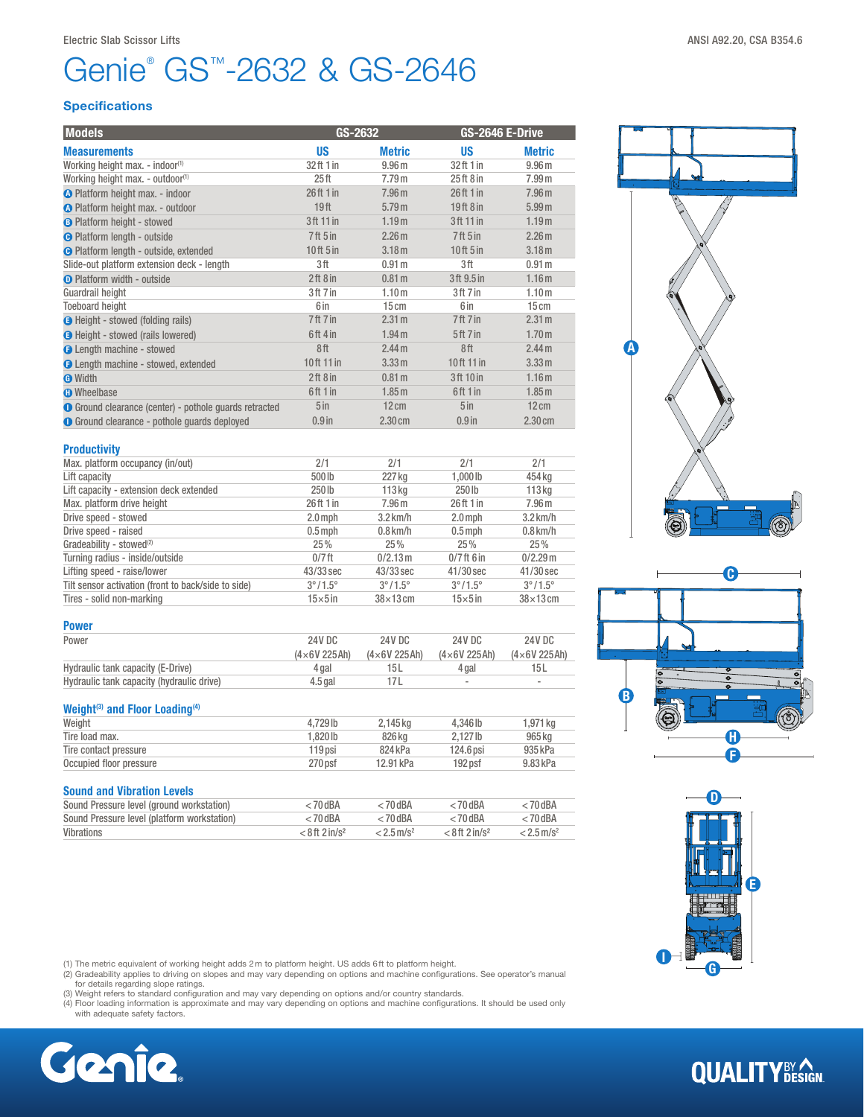# Genie<sup>®</sup> GS<sup>™</sup>-2632 & GS-2646

### **Specifications**

| <b>Models</b>                                                 | GS-2632                         |                   | GS-2646 E-Drive                 |                   |  |
|---------------------------------------------------------------|---------------------------------|-------------------|---------------------------------|-------------------|--|
| <b>Measurements</b>                                           | <b>US</b>                       | <b>Metric</b>     | <b>US</b>                       | <b>Metric</b>     |  |
| Working height max. - indoor <sup>(1)</sup>                   | 32 ft 1 in                      | 9.96 <sub>m</sub> | 32ft 1 in                       | 9.96 <sub>m</sub> |  |
| Working height max. - outdoor <sup>(1)</sup>                  | 25 <sub>ft</sub>                | 7.79m             | 25ft8in                         | 7.99 <sub>m</sub> |  |
| O Platform height max. - indoor                               | 26ft1in                         | 7.96 <sub>m</sub> | 26ft1in                         | 7.96 <sub>m</sub> |  |
| <b>O</b> Platform height max. - outdoor                       | 19 <sub>ft</sub>                | 5.79 m            | 19ft 8in                        | 5.99 <sub>m</sub> |  |
| <b>B</b> Platform height - stowed                             | 3 ft 11 in                      | 1.19 <sub>m</sub> | 3ft 11 in                       | 1.19 <sub>m</sub> |  |
| <b>O</b> Platform length - outside                            | 7 <sup>ft</sup> 5 <sup>in</sup> | 2.26 <sub>m</sub> | 7 <sup>ft</sup> 5 <sup>in</sup> | 2.26 <sub>m</sub> |  |
| <b>O</b> Platform length - outside, extended                  | $10$ ft $5$ in                  | 3.18 <sub>m</sub> | 10ft 5 in                       | 3.18 <sub>m</sub> |  |
| Slide-out platform extension deck - length                    | 3ft                             | 0.91 <sub>m</sub> | 3ft                             | 0.91 <sub>m</sub> |  |
| <b>O</b> Platform width - outside                             | 2ft8in                          | 0.81 <sub>m</sub> | 3ft 9.5 in                      | 1.16 <sub>m</sub> |  |
| Guardrail height                                              | 3ft 7 in                        | 1.10 <sub>m</sub> | 3ft 7in                         | 1.10 <sub>m</sub> |  |
| <b>Toeboard height</b>                                        | 6 in                            | 15cm              | 6 in                            | 15cm              |  |
| <b>O</b> Height - stowed (folding rails)                      | 7ft 7in                         | 2.31 m            | 7 ft 7 in                       | 2.31 m            |  |
| <b>O</b> Height - stowed (rails lowered)                      | 6ft 4 in                        | 1.94 <sub>m</sub> | 5 <sup>ft</sup> 7 in            | 1.70 <sub>m</sub> |  |
| <b>O</b> Length machine - stowed                              | 8ft                             | 2.44 <sub>m</sub> | 8ft                             | 2.44 <sub>m</sub> |  |
| <b>O</b> Length machine - stowed, extended                    | 10ft 11 in                      | 3.33 m            | 10ft 11 in                      | 3.33 m            |  |
| <b>O</b> Width                                                | 2ft8in                          | 0.81 <sub>m</sub> | 3ft 10 in                       | 1.16 <sub>m</sub> |  |
| <b>O</b> Wheelbase                                            | 6ft 1 in                        | 1.85 <sub>m</sub> | 6ft 1 in                        | 1.85 <sub>m</sub> |  |
| <b>O</b> Ground clearance (center) - pothole guards retracted | 5 <sub>in</sub>                 | $12 \text{ cm}$   | 5 <sub>in</sub>                 | $12 \text{ cm}$   |  |
| <b>O</b> Ground clearance - pothole quards deployed           | $0.9$ in                        | 2.30cm            | $0.9$ in                        | $2.30 \text{ cm}$ |  |
|                                                               |                                 |                   |                                 |                   |  |

| <b>Productivity</b>                                 |                         |                         |                         |                         |
|-----------------------------------------------------|-------------------------|-------------------------|-------------------------|-------------------------|
| Max. platform occupancy (in/out)                    | 2/1                     | 2/1                     | 2/1                     | 2/1                     |
| Lift capacity                                       | 500lb                   | 227 kg                  | $1.000$ lb              | 454 kg                  |
| Lift capacity - extension deck extended             | 250 lb                  | 113 <sub>ka</sub>       | $250$ lb                | 113 <sub>kq</sub>       |
| Max. platform drive height                          | 26 ft 1 in              | 7.96 <sub>m</sub>       | 26ft1in                 | 7.96 <sub>m</sub>       |
| Drive speed - stowed                                | $2.0$ mph               | $3.2$ km/h              | $2.0$ mph               | $3.2$ km/h              |
| Drive speed - raised                                | $0.5$ mph               | $0.8$ km/h              | $0.5$ mph               | $0.8$ km/h              |
| Gradeability - stowed <sup>(2)</sup>                | 25%                     | 25%                     | 25%                     | 25%                     |
| Turning radius - inside/outside                     | $0/7$ ft                | 0/2.13 m                | $0/7$ ft 6 in           | $0/2.29$ m              |
| Lifting speed - raise/lower                         | 43/33 sec               | 43/33 sec               | $41/30$ sec             | $41/30$ sec             |
| Tilt sensor activation (front to back/side to side) | $3^{\circ}/1.5^{\circ}$ | $3^{\circ}/1.5^{\circ}$ | $3^{\circ}/1.5^{\circ}$ | $3^{\circ}/1.5^{\circ}$ |
| Tires - solid non-marking                           | $15\times 5$ in         | $38\times13$ cm         | $15\times 5$ in         | $38\times13$ cm         |

| <b>Power</b>                              |                    |                    |                          |                          |
|-------------------------------------------|--------------------|--------------------|--------------------------|--------------------------|
| Power                                     | 24V DC             | 24V DC             | 24V DC                   | 24V DC                   |
|                                           | $(4\times6V225Ah)$ | $(4\times6V225Ah)$ | $(4\times6V225Ah)$       | $(4\times6V 225Ah)$      |
| Hydraulic tank capacity (E-Drive)         | 4 gal              | 15 L               | 4 gal                    | 15 L                     |
| Hydraulic tank capacity (hydraulic drive) | $4.5$ gal          |                    | $\overline{\phantom{a}}$ | $\overline{\phantom{a}}$ |

### Weight<sup>(3)</sup> and Floor Loading<sup>(4)</sup>

| Weight                  | 4.729 lb  | 2.145 kg  | 4.346 lb  | 1.971 ka |
|-------------------------|-----------|-----------|-----------|----------|
| Tire load max.          | $.820$ lb | 826 ka    | 2.127 lb  | 965 ka   |
| Tire contact pressure   | $119$ psi | 824 kPa   | 124.6 psi | 935 kPa  |
| Occupied floor pressure | 270 psf   | 12.91 kPa | 192 psf   | 9.83 kPa |
|                         |           |           |           |          |

## Sound and Vibration Levels

| Sound Pressure level (ground workstation)   | $<$ 70 dBA                   | < 70 dBA                 | $< 70$ dBA                   | $<$ 70 dBA               |
|---------------------------------------------|------------------------------|--------------------------|------------------------------|--------------------------|
| Sound Pressure level (platform workstation) | $< 70$ dBA                   | $< 70$ dBA               | $< 70$ dBA                   | $< 70$ dBA               |
| Vibrations                                  | $< 8$ ft 2 in/s <sup>2</sup> | $< 2.5$ m/s <sup>2</sup> | $< 8$ ft 2 in/s <sup>2</sup> | $< 2.5$ m/s <sup>2</sup> |

(1) The metric equivalent of working height adds 2m to platform height. US adds 6ft to platform height.

(2) Gradeability applies to driving on slopes and may vary depending on options and machine configurations. See operator's manual<br>for details regarding slope ratings.<br>(3) Weight refers to standard configuration and may var

- 
- (4) Floor loading information is approximate and may vary depending on options and machine configurations. It should be used only with adequate safety factors.









## **QUALITY**BY AGN